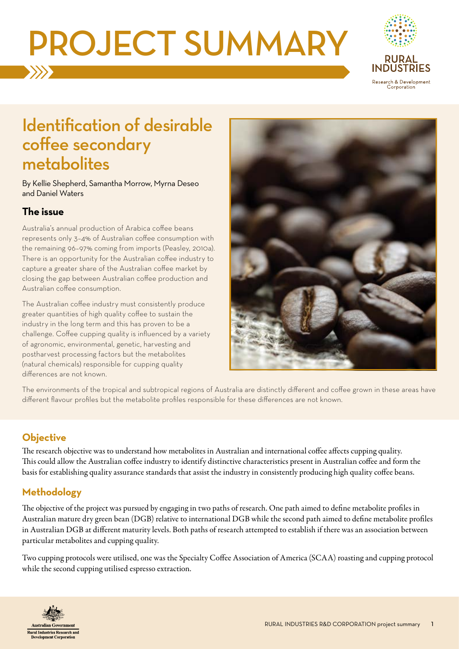# PROJECT SUMMARY



## Identification of desirable coffee secondary metabolites

By Kellie Shepherd, Samantha Morrow, Myrna Deseo and Daniel Waters

#### **The issue**

Australia's annual production of Arabica coffee beans represents only 3–4% of Australian coffee consumption with the remaining 96–97% coming from imports (Peasley, 2010a). There is an opportunity for the Australian coffee industry to capture a greater share of the Australian coffee market by closing the gap between Australian coffee production and Australian coffee consumption.

The Australian coffee industry must consistently produce greater quantities of high quality coffee to sustain the industry in the long term and this has proven to be a challenge. Coffee cupping quality is influenced by a variety of agronomic, environmental, genetic, harvesting and postharvest processing factors but the metabolites (natural chemicals) responsible for cupping quality differences are not known.



The environments of the tropical and subtropical regions of Australia are distinctly different and coffee grown in these areas have different flavour profiles but the metabolite profiles responsible for these differences are not known.

### **Objective**

The research objective was to understand how metabolites in Australian and international coffee affects cupping quality. This could allow the Australian coffee industry to identify distinctive characteristics present in Australian coffee and form the basis for establishing quality assurance standards that assist the industry in consistently producing high quality coffee beans.

### **Methodology**

The objective of the project was pursued by engaging in two paths of research. One path aimed to define metabolite profiles in Australian mature dry green bean (DGB) relative to international DGB while the second path aimed to define metabolite profiles in Australian DGB at different maturity levels. Both paths of research attempted to establish if there was an association between particular metabolites and cupping quality.

Two cupping protocols were utilised, one was the Specialty Coffee Association of America (SCAA) roasting and cupping protocol while the second cupping utilised espresso extraction.

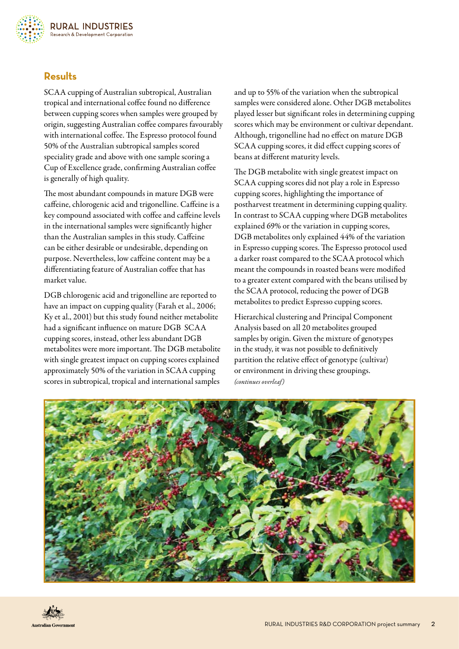#### **Results**

SCAA cupping of Australian subtropical, Australian tropical and international coffee found no difference between cupping scores when samples were grouped by origin, suggesting Australian coffee compares favourably with international coffee. The Espresso protocol found 50% of the Australian subtropical samples scored speciality grade and above with one sample scoring a Cup of Excellence grade, confirming Australian coffee is generally of high quality.

The most abundant compounds in mature DGB were caffeine, chlorogenic acid and trigonelline. Caffeine is a key compound associated with coffee and caffeine levels in the international samples were significantly higher than the Australian samples in this study. Caffeine can be either desirable or undesirable, depending on purpose. Nevertheless, low caffeine content may be a differentiating feature of Australian coffee that has market value.

DGB chlorogenic acid and trigonelline are reported to have an impact on cupping quality (Farah et al., 2006; Ky et al., 2001) but this study found neither metabolite had a significant influence on mature DGB SCAA cupping scores, instead, other less abundant DGB metabolites were more important. The DGB metabolite with single greatest impact on cupping scores explained approximately 50% of the variation in SCAA cupping scores in subtropical, tropical and international samples

and up to 55% of the variation when the subtropical samples were considered alone. Other DGB metabolites played lesser but significant roles in determining cupping scores which may be environment or cultivar dependant. Although, trigonelline had no effect on mature DGB SCAA cupping scores, it did effect cupping scores of beans at different maturity levels.

The DGB metabolite with single greatest impact on SCAA cupping scores did not play a role in Espresso cupping scores, highlighting the importance of postharvest treatment in determining cupping quality. In contrast to SCAA cupping where DGB metabolites explained 69% or the variation in cupping scores, DGB metabolites only explained 44% of the variation in Espresso cupping scores. The Espresso protocol used a darker roast compared to the SCAA protocol which meant the compounds in roasted beans were modified to a greater extent compared with the beans utilised by the SCAA protocol, reducing the power of DGB metabolites to predict Espresso cupping scores.

Hierarchical clustering and Principal Component Analysis based on all 20 metabolites grouped samples by origin. Given the mixture of genotypes in the study, it was not possible to definitively partition the relative effect of genotype (cultivar) or environment in driving these groupings. *(continues overleaf)*